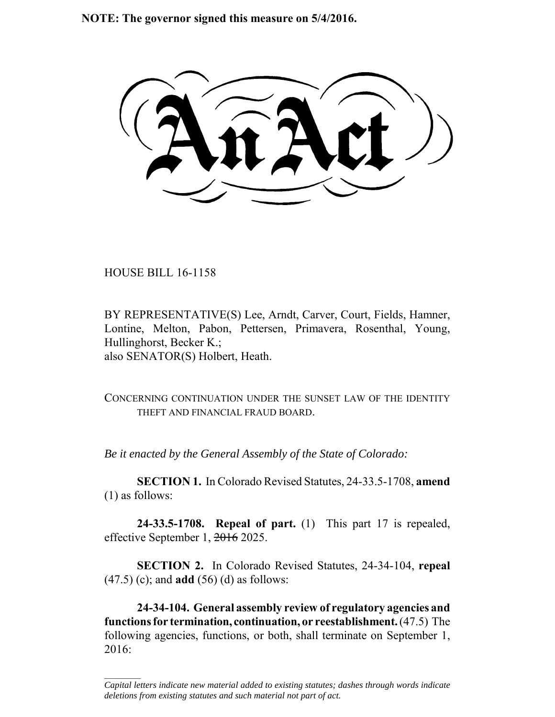**NOTE: The governor signed this measure on 5/4/2016.**

HOUSE BILL 16-1158

 $\frac{1}{2}$ 

BY REPRESENTATIVE(S) Lee, Arndt, Carver, Court, Fields, Hamner, Lontine, Melton, Pabon, Pettersen, Primavera, Rosenthal, Young, Hullinghorst, Becker K.; also SENATOR(S) Holbert, Heath.

CONCERNING CONTINUATION UNDER THE SUNSET LAW OF THE IDENTITY THEFT AND FINANCIAL FRAUD BOARD.

*Be it enacted by the General Assembly of the State of Colorado:*

**SECTION 1.** In Colorado Revised Statutes, 24-33.5-1708, **amend** (1) as follows:

**24-33.5-1708. Repeal of part.** (1) This part 17 is repealed, effective September 1, 2016 2025.

**SECTION 2.** In Colorado Revised Statutes, 24-34-104, **repeal** (47.5) (c); and **add** (56) (d) as follows:

**24-34-104. General assembly review of regulatory agencies and functions for termination, continuation, or reestablishment.** (47.5) The following agencies, functions, or both, shall terminate on September 1, 2016:

*Capital letters indicate new material added to existing statutes; dashes through words indicate deletions from existing statutes and such material not part of act.*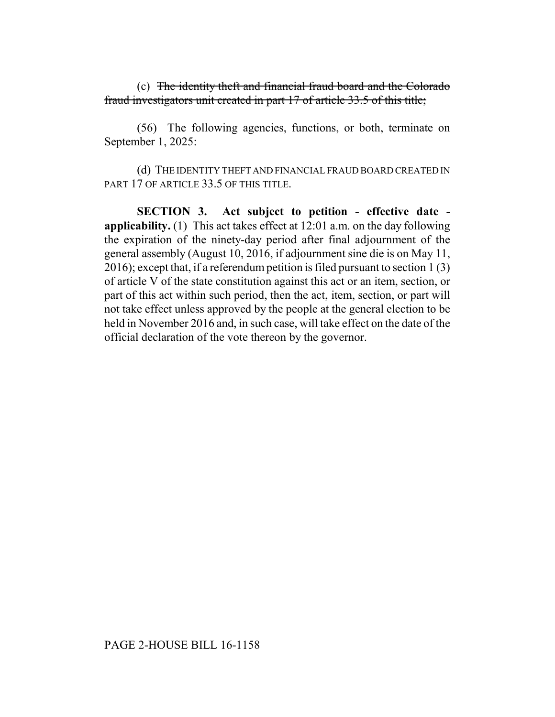(c) The identity theft and financial fraud board and the Colorado fraud investigators unit created in part 17 of article 33.5 of this title;

(56) The following agencies, functions, or both, terminate on September 1, 2025:

(d) THE IDENTITY THEFT AND FINANCIAL FRAUD BOARD CREATED IN PART 17 OF ARTICLE 33.5 OF THIS TITLE.

**SECTION 3. Act subject to petition - effective date applicability.** (1) This act takes effect at 12:01 a.m. on the day following the expiration of the ninety-day period after final adjournment of the general assembly (August 10, 2016, if adjournment sine die is on May 11, 2016); except that, if a referendum petition is filed pursuant to section 1 (3) of article V of the state constitution against this act or an item, section, or part of this act within such period, then the act, item, section, or part will not take effect unless approved by the people at the general election to be held in November 2016 and, in such case, will take effect on the date of the official declaration of the vote thereon by the governor.